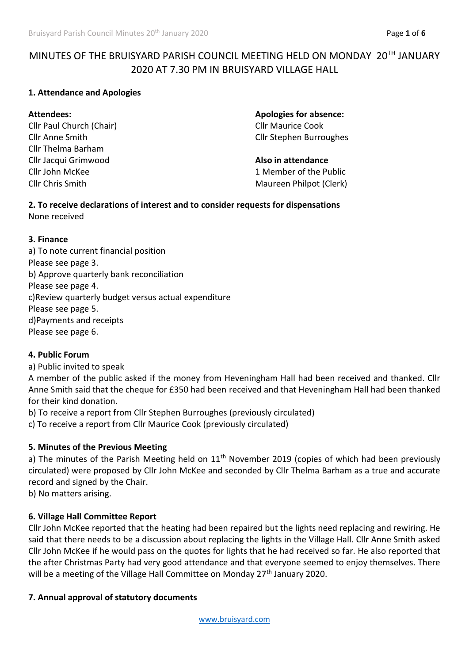# MINUTES OF THE BRUISYARD PARISH COUNCIL MEETING HELD ON MONDAY 20TH JANUARY 2020 AT 7.30 PM IN BRUISYARD VILLAGE HALL

## **1. Attendance and Apologies**

Cllr Paul Church (Chair) Cllr Maurice Cook Cllr Thelma Barham Cllr Jacqui Grimwood **Also in attendance** Cllr John McKee 2 1 Member of the Public

**Attendees: Apologies for absence:** Cllr Anne Smith Cllr Stephen Burroughes

Cllr Chris Smith Maureen Philpot (Clerk)

#### **2. To receive declarations of interest and to consider requests for dispensations** None received

#### **3. Finance**

a) To note current financial position Please see page 3. b) Approve quarterly bank reconciliation Please see page 4. c)Review quarterly budget versus actual expenditure Please see page 5. d)Payments and receipts Please see page 6.

#### **4. Public Forum**

a) Public invited to speak

A member of the public asked if the money from Heveningham Hall had been received and thanked. Cllr Anne Smith said that the cheque for £350 had been received and that Heveningham Hall had been thanked for their kind donation.

b) To receive a report from Cllr Stephen Burroughes (previously circulated)

c) To receive a report from Cllr Maurice Cook (previously circulated)

#### **5. Minutes of the Previous Meeting**

a) The minutes of the Parish Meeting held on  $11<sup>th</sup>$  November 2019 (copies of which had been previously circulated) were proposed by Cllr John McKee and seconded by Cllr Thelma Barham as a true and accurate record and signed by the Chair.

b) No matters arising.

## **6. Village Hall Committee Report**

Cllr John McKee reported that the heating had been repaired but the lights need replacing and rewiring. He said that there needs to be a discussion about replacing the lights in the Village Hall. Cllr Anne Smith asked Cllr John McKee if he would pass on the quotes for lights that he had received so far. He also reported that the after Christmas Party had very good attendance and that everyone seemed to enjoy themselves. There will be a meeting of the Village Hall Committee on Monday 27<sup>th</sup> January 2020.

## **7. Annual approval of statutory documents**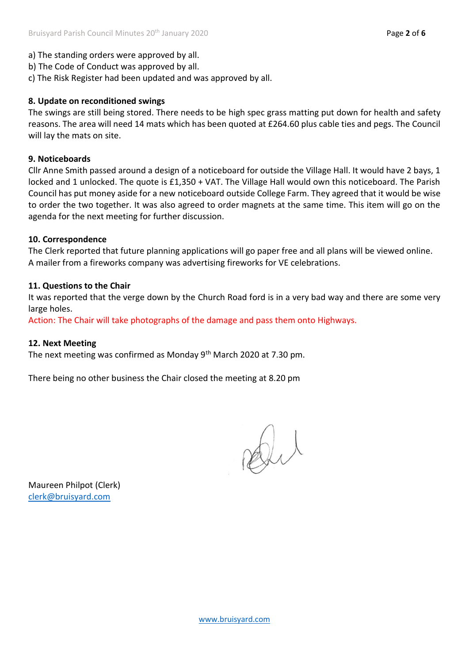- b) The Code of Conduct was approved by all.
- c) The Risk Register had been updated and was approved by all.

## **8. Update on reconditioned swings**

The swings are still being stored. There needs to be high spec grass matting put down for health and safety reasons. The area will need 14 mats which has been quoted at £264.60 plus cable ties and pegs. The Council will lay the mats on site.

### **9. Noticeboards**

Cllr Anne Smith passed around a design of a noticeboard for outside the Village Hall. It would have 2 bays, 1 locked and 1 unlocked. The quote is £1,350 + VAT. The Village Hall would own this noticeboard. The Parish Council has put money aside for a new noticeboard outside College Farm. They agreed that it would be wise to order the two together. It was also agreed to order magnets at the same time. This item will go on the agenda for the next meeting for further discussion.

#### **10. Correspondence**

The Clerk reported that future planning applications will go paper free and all plans will be viewed online. A mailer from a fireworks company was advertising fireworks for VE celebrations.

## **11. Questions to the Chair**

It was reported that the verge down by the Church Road ford is in a very bad way and there are some very large holes.

Action: The Chair will take photographs of the damage and pass them onto Highways.

#### **12. Next Meeting**

The next meeting was confirmed as Monday 9<sup>th</sup> March 2020 at 7.30 pm.

There being no other business the Chair closed the meeting at 8.20 pm

Dil

Maureen Philpot (Clerk) [clerk@bruisyard.com](mailto:clerk@bruisyard.com)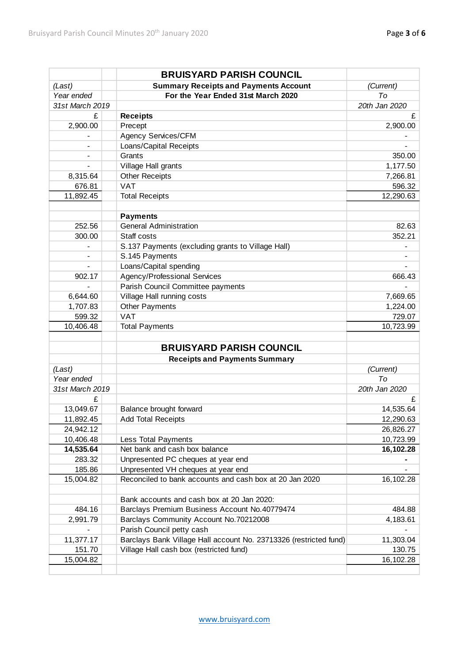|                          | <b>BRUISYARD PARISH COUNCIL</b>                                   |               |
|--------------------------|-------------------------------------------------------------------|---------------|
| (Last)                   | <b>Summary Receipts and Payments Account</b>                      | (Current)     |
| Year ended               | For the Year Ended 31st March 2020                                | To            |
| 31st March 2019          |                                                                   | 20th Jan 2020 |
| £                        | <b>Receipts</b>                                                   | £             |
| 2,900.00                 | Precept                                                           | 2,900.00      |
| $\overline{\phantom{0}}$ | Agency Services/CFM                                               |               |
|                          | Loans/Capital Receipts                                            |               |
|                          | Grants                                                            | 350.00        |
|                          | Village Hall grants                                               | 1,177.50      |
| 8,315.64                 | <b>Other Receipts</b>                                             | 7,266.81      |
| 676.81                   | <b>VAT</b>                                                        | 596.32        |
| 11,892.45                | <b>Total Receipts</b>                                             | 12,290.63     |
|                          |                                                                   |               |
|                          | <b>Payments</b>                                                   |               |
| 252.56                   | <b>General Administration</b>                                     | 82.63         |
| 300.00                   | Staff costs                                                       | 352.21        |
|                          | S.137 Payments (excluding grants to Village Hall)                 |               |
|                          | S.145 Payments                                                    |               |
|                          | Loans/Capital spending                                            |               |
| 902.17                   | Agency/Professional Services                                      | 666.43        |
|                          | Parish Council Committee payments                                 |               |
| 6,644.60                 | Village Hall running costs                                        | 7,669.65      |
| 1,707.83                 | <b>Other Payments</b>                                             | 1,224.00      |
| 599.32                   | <b>VAT</b>                                                        | 729.07        |
| 10,406.48                | <b>Total Payments</b>                                             | 10,723.99     |
|                          |                                                                   |               |
|                          | <b>BRUISYARD PARISH COUNCIL</b>                                   |               |
|                          | <b>Receipts and Payments Summary</b>                              |               |
| (Last)                   |                                                                   | (Current)     |
| Year ended               |                                                                   | To            |
| 31st March 2019          |                                                                   | 20th Jan 2020 |
| £                        |                                                                   | £             |
| 13,049.67                | Balance brought forward                                           | 14,535.64     |
| 11,892.45                | <b>Add Total Receipts</b>                                         | 12,290.63     |
| 24,942.12                |                                                                   | 26,826.27     |
| 10,406.48                | Less Total Payments                                               | 10,723.99     |
| 14,535.64                | Net bank and cash box balance                                     | 16,102.28     |
| 283.32                   | Unpresented PC cheques at year end                                |               |
| 185.86                   | Unpresented VH cheques at year end                                |               |
| 15,004.82                | Reconciled to bank accounts and cash box at 20 Jan 2020           | 16,102.28     |
|                          | Bank accounts and cash box at 20 Jan 2020:                        |               |
| 484.16                   | Barclays Premium Business Account No.40779474                     | 484.88        |
| 2,991.79                 | Barclays Community Account No.70212008                            | 4,183.61      |
|                          | Parish Council petty cash                                         |               |
| 11,377.17                | Barclays Bank Village Hall account No. 23713326 (restricted fund) | 11,303.04     |
| 151.70                   | Village Hall cash box (restricted fund)                           | 130.75        |
| 15,004.82                |                                                                   | 16,102.28     |
|                          |                                                                   |               |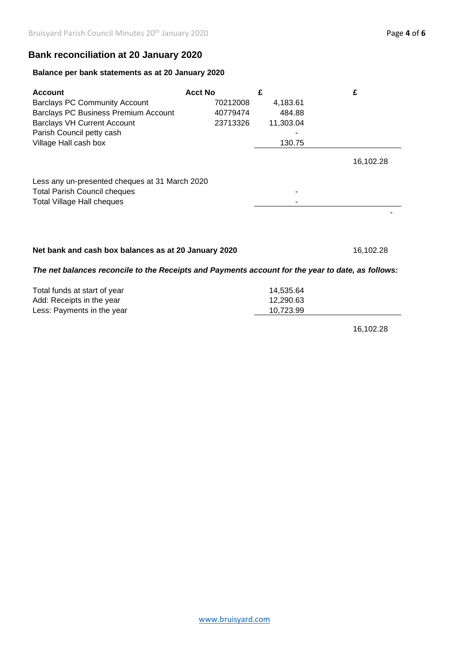# **Bank reconciliation at 20 January 2020**

#### **Balance per bank statements as at 20 January 2020**

| <b>Account</b><br><b>Barclays PC Community Account</b><br><b>Barclays PC Business Premium Account</b><br><b>Barclays VH Current Account</b><br>Parish Council petty cash | <b>Acct No</b><br>70212008<br>40779474<br>23713326 | £<br>4,183.61<br>484.88<br>11,303.04 | £         |
|--------------------------------------------------------------------------------------------------------------------------------------------------------------------------|----------------------------------------------------|--------------------------------------|-----------|
| Village Hall cash box<br>Less any un-presented cheques at 31 March 2020                                                                                                  |                                                    | 130.75                               | 16,102.28 |
| <b>Total Parish Council cheques</b><br><b>Total Village Hall cheques</b>                                                                                                 |                                                    |                                      |           |

## **Net bank and cash box balances as at 20 January 2020**

16,102.28

## *The net balances reconcile to the Receipts and Payments account for the year to date, as follows:*

| Total funds at start of year | 14.535.64 |
|------------------------------|-----------|
| Add: Receipts in the year    | 12.290.63 |
| Less: Payments in the year   | 10.723.99 |

16,102.28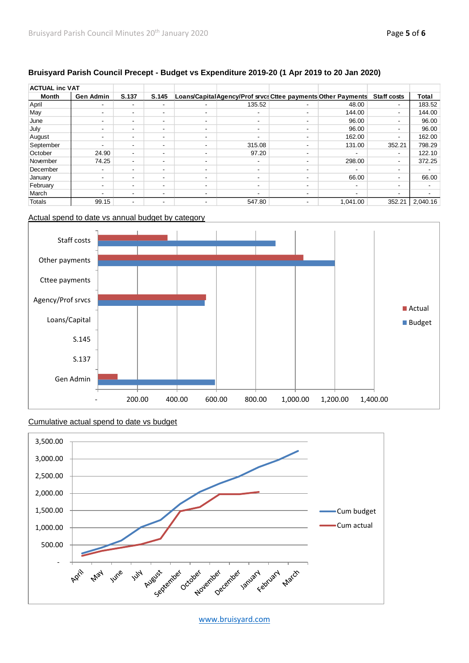#### **Bruisyard Parish Council Precept - Budget vs Expenditure 2019-20 (1 Apr 2019 to 20 Jan 2020)**

| <b>ACTUAL inc VAT</b> |                          |                          |                          |                          |                                                              |                          |                          |                          |          |
|-----------------------|--------------------------|--------------------------|--------------------------|--------------------------|--------------------------------------------------------------|--------------------------|--------------------------|--------------------------|----------|
| Month                 | <b>Gen Admin</b>         | S.137                    | S.145                    |                          | Loans/CapitalAgency/Prof srvcs Cttee payments Other Payments |                          |                          | <b>Staff costs</b>       | Total    |
| April                 |                          | ۰                        | $\sim$                   | $\blacksquare$           | 135.52                                                       |                          | 48.00                    | $\overline{\phantom{0}}$ | 183.52   |
| May                   |                          | ۰.                       | $\overline{\phantom{a}}$ | $\blacksquare$           | $\overline{\phantom{0}}$                                     |                          | 144.00                   | $\overline{\phantom{a}}$ | 144.00   |
| June                  | ۰                        | $\overline{\phantom{a}}$ | $\overline{\phantom{a}}$ | $\overline{\phantom{a}}$ | $\overline{\phantom{0}}$                                     | ۰                        | 96.00                    | $\overline{\phantom{a}}$ | 96.00    |
| July                  | ۰                        | ۰                        | $\overline{\phantom{a}}$ | $\overline{\phantom{a}}$ | $\overline{\phantom{0}}$                                     | ۰                        | 96.00                    | $\overline{\phantom{a}}$ | 96.00    |
| August                | $\overline{\phantom{a}}$ | $\overline{\phantom{a}}$ | $\blacksquare$           | $\overline{\phantom{a}}$ | $\overline{\phantom{a}}$                                     | $\overline{\phantom{a}}$ | 162.00                   | $\overline{\phantom{a}}$ | 162.00   |
| September             | ۰                        | ۰                        | $\overline{\phantom{a}}$ | $\overline{\phantom{a}}$ | 315.08                                                       |                          | 131.00                   | 352.21                   | 798.29   |
| October               | 24.90                    | $\blacksquare$           | $\blacksquare$           | $\blacksquare$           | 97.20                                                        |                          | ۰                        | $\overline{\phantom{a}}$ | 122.10   |
| November              | 74.25                    | $\blacksquare$           | $\overline{\phantom{a}}$ | $\overline{\phantom{a}}$ | $\overline{\phantom{0}}$                                     | $\overline{\phantom{a}}$ | 298.00                   | $\overline{\phantom{a}}$ | 372.25   |
| December              |                          | ۰.                       | $\overline{\phantom{0}}$ | $\blacksquare$           | $\overline{\phantom{0}}$                                     |                          | ۰                        | $\blacksquare$           |          |
| January               | -                        | ۰.                       | $\overline{\phantom{a}}$ | $\blacksquare$           | $\overline{\phantom{0}}$                                     | -                        | 66.00                    | $\overline{\phantom{a}}$ | 66.00    |
| February              |                          | ۰.                       |                          | $\overline{\phantom{a}}$ | $\overline{\phantom{0}}$                                     | -                        | ۰                        | $\overline{\phantom{a}}$ |          |
| March                 | -                        | ۰.                       | $\overline{\phantom{a}}$ | $\blacksquare$           | $\overline{\phantom{a}}$                                     |                          | $\overline{\phantom{a}}$ | -                        |          |
| Totals                | 99.15                    | -                        | $\overline{\phantom{a}}$ | $\overline{\phantom{a}}$ | 547.80                                                       |                          | 1.041.00                 | 352.21                   | 2.040.16 |

#### Actual spend to date vs annual budget by category



#### Cumulative actual spend to date vs budget



[www.bruisyard.com](http://www.bruisyard.com/)